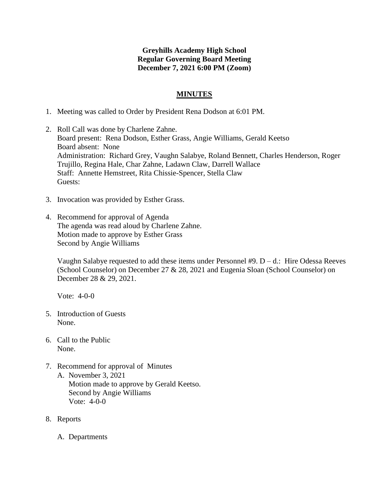## **Greyhills Academy High School Regular Governing Board Meeting December 7, 2021 6:00 PM (Zoom)**

## **MINUTES**

- 1. Meeting was called to Order by President Rena Dodson at 6:01 PM.
- 2. Roll Call was done by Charlene Zahne. Board present: Rena Dodson, Esther Grass, Angie Williams, Gerald Keetso Board absent: None Administration: Richard Grey, Vaughn Salabye, Roland Bennett, Charles Henderson, Roger Trujillo, Regina Hale, Char Zahne, Ladawn Claw, Darrell Wallace Staff: Annette Hemstreet, Rita Chissie-Spencer, Stella Claw Guests:
- 3. Invocation was provided by Esther Grass.
- 4. Recommend for approval of Agenda The agenda was read aloud by Charlene Zahne. Motion made to approve by Esther Grass Second by Angie Williams

Vaughn Salabye requested to add these items under Personnel #9.  $D - d$ .: Hire Odessa Reeves (School Counselor) on December 27 & 28, 2021 and Eugenia Sloan (School Counselor) on December 28 & 29, 2021.

Vote: 4-0-0

- 5. Introduction of Guests None.
- 6. Call to the Public None.
- 7. Recommend for approval of Minutes A. November 3, 2021 Motion made to approve by Gerald Keetso. Second by Angie Williams Vote: 4-0-0
- 8. Reports
	- A. Departments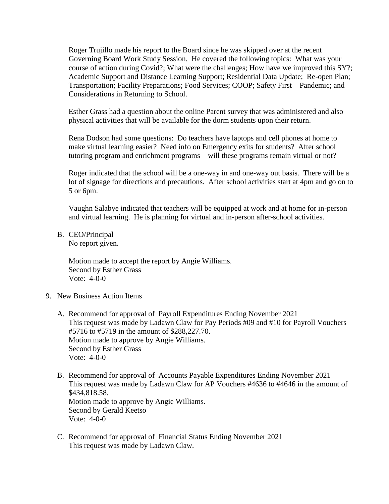Roger Trujillo made his report to the Board since he was skipped over at the recent Governing Board Work Study Session. He covered the following topics: What was your course of action during Covid?; What were the challenges; How have we improved this SY?; Academic Support and Distance Learning Support; Residential Data Update; Re-open Plan; Transportation; Facility Preparations; Food Services; COOP; Safety First – Pandemic; and Considerations in Returning to School.

Esther Grass had a question about the online Parent survey that was administered and also physical activities that will be available for the dorm students upon their return.

Rena Dodson had some questions: Do teachers have laptops and cell phones at home to make virtual learning easier? Need info on Emergency exits for students? After school tutoring program and enrichment programs – will these programs remain virtual or not?

Roger indicated that the school will be a one-way in and one-way out basis. There will be a lot of signage for directions and precautions. After school activities start at 4pm and go on to 5 or 6pm.

Vaughn Salabye indicated that teachers will be equipped at work and at home for in-person and virtual learning. He is planning for virtual and in-person after-school activities.

B. CEO/Principal No report given.

> Motion made to accept the report by Angie Williams. Second by Esther Grass Vote: 4-0-0

- 9. New Business Action Items
	- A. Recommend for approval of Payroll Expenditures Ending November 2021 This request was made by Ladawn Claw for Pay Periods #09 and #10 for Payroll Vouchers #5716 to #5719 in the amount of \$288,227.70. Motion made to approve by Angie Williams. Second by Esther Grass Vote: 4-0-0
	- B. Recommend for approval of Accounts Payable Expenditures Ending November 2021 This request was made by Ladawn Claw for AP Vouchers #4636 to #4646 in the amount of \$434,818.58. Motion made to approve by Angie Williams. Second by Gerald Keetso Vote: 4-0-0
	- C. Recommend for approval of Financial Status Ending November 2021 This request was made by Ladawn Claw.